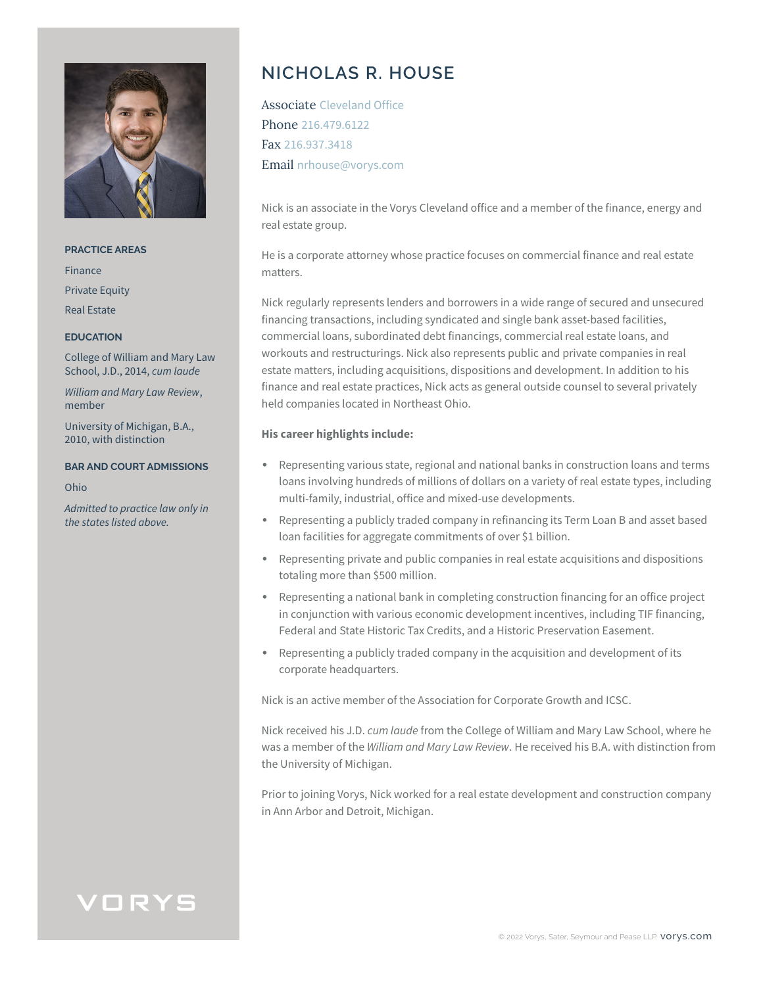

#### **PRACTICE AREAS**

Finance Private Equity Real Estate

#### **EDUCATION**

College of William and Mary Law School, J.D., 2014, *cum laude*

*William and Mary Law Review*, member

University of Michigan, B.A., 2010, with distinction

#### **BAR AND COURT ADMISSIONS**

Ohio

*Admitted to practice law only in the states listed above.*

# **NICHOLAS R. HOUSE**

Associate Cleveland Office Phone 216.479.6122 Fax 216.937.3418 Email nrhouse@vorys.com

Nick is an associate in the Vorys Cleveland office and a member of the finance, energy and real estate group.

He is a corporate attorney whose practice focuses on commercial finance and real estate matters.

Nick regularly represents lenders and borrowers in a wide range of secured and unsecured financing transactions, including syndicated and single bank asset-based facilities, commercial loans, subordinated debt financings, commercial real estate loans, and workouts and restructurings. Nick also represents public and private companies in real estate matters, including acquisitions, dispositions and development. In addition to his finance and real estate practices, Nick acts as general outside counsel to several privately held companies located in Northeast Ohio.

#### **His career highlights include:**

- Representing various state, regional and national banks in construction loans and terms loans involving hundreds of millions of dollars on a variety of real estate types, including multi-family, industrial, office and mixed-use developments.
- Representing a publicly traded company in refinancing its Term Loan B and asset based loan facilities for aggregate commitments of over \$1 billion.
- Representing private and public companies in real estate acquisitions and dispositions totaling more than \$500 million.
- Representing a national bank in completing construction financing for an office project in conjunction with various economic development incentives, including TIF financing, Federal and State Historic Tax Credits, and a Historic Preservation Easement.
- Representing a publicly traded company in the acquisition and development of its corporate headquarters.

Nick is an active member of the Association for Corporate Growth and ICSC.

Nick received his J.D. *cum laude* from the College of William and Mary Law School, where he was a member of the *William and Mary Law Review*. He received his B.A. with distinction from the University of Michigan.

Prior to joining Vorys, Nick worked for a real estate development and construction company in Ann Arbor and Detroit, Michigan.

# VORYS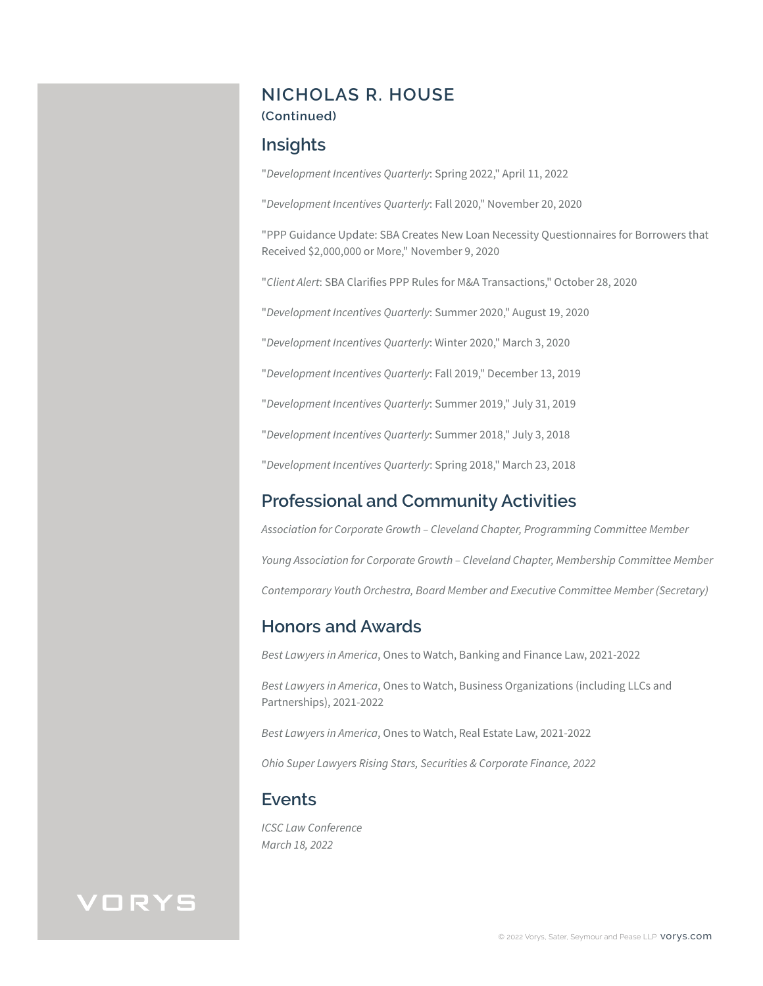## **NICHOLAS R. HOUSE**

### **(Continued)**

## **Insights**

"*Development Incentives Quarterly*: Spring 2022," April 11, 2022

"*Development Incentives Quarterly*: Fall 2020," November 20, 2020

"PPP Guidance Update: SBA Creates New Loan Necessity Questionnaires for Borrowers that Received \$2,000,000 or More," November 9, 2020

"*Client Alert*: SBA Clarifies PPP Rules for M&A Transactions," October 28, 2020

"*Development Incentives Quarterly*: Summer 2020," August 19, 2020

"*Development Incentives Quarterly*: Winter 2020," March 3, 2020

"*Development Incentives Quarterly*: Fall 2019," December 13, 2019

"*Development Incentives Quarterly*: Summer 2019," July 31, 2019

"*Development Incentives Quarterly*: Summer 2018," July 3, 2018

"*Development Incentives Quarterly*: Spring 2018," March 23, 2018

## **Professional and Community Activities**

*Association for Corporate Growth – Cleveland Chapter, Programming Committee Member Young Association for Corporate Growth – Cleveland Chapter, Membership Committee Member Contemporary Youth Orchestra, Board Member and Executive Committee Member (Secretary)*

### **Honors and Awards**

*Best Lawyers in America*, Ones to Watch, Banking and Finance Law, 2021-2022

*Best Lawyers in America*, Ones to Watch, Business Organizations (including LLCs and Partnerships), 2021-2022

*Best Lawyers in America*, Ones to Watch, Real Estate Law, 2021-2022

*Ohio Super Lawyers Rising Stars, Securities & Corporate Finance, 2022*

## **Events**

*ICSC Law Conference March 18, 2022*

# VORYS